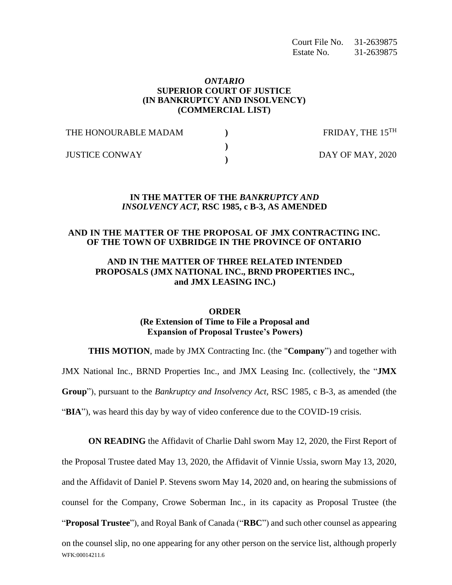Court File No. 31-2639875 Estate No. 31-2639875

#### *ONTARIO*  **SUPERIOR COURT OF JUSTICE (IN BANKRUPTCY AND INSOLVENCY) (COMMERCIAL LIST)**

| THE HONOURABLE MADAM  |  | FRIDAY, THE $15^{TH}$ |
|-----------------------|--|-----------------------|
| <b>JUSTICE CONWAY</b> |  | DAY OF MAY, 2020      |
|                       |  |                       |

#### **IN THE MATTER OF THE** *BANKRUPTCY AND INSOLVENCY ACT,* **RSC 1985, c B-3, AS AMENDED**

#### **AND IN THE MATTER OF THE PROPOSAL OF JMX CONTRACTING INC. OF THE TOWN OF UXBRIDGE IN THE PROVINCE OF ONTARIO**

## **AND IN THE MATTER OF THREE RELATED INTENDED PROPOSALS (JMX NATIONAL INC., BRND PROPERTIES INC., and JMX LEASING INC.)**

## **ORDER (Re Extension of Time to File a Proposal and Expansion of Proposal Trustee's Powers)**

**THIS MOTION**, made by JMX Contracting Inc. (the "**Company**") and together with JMX National Inc., BRND Properties Inc., and JMX Leasing Inc. (collectively, the "**JMX Group**"), pursuant to the *Bankruptcy and Insolvency Act,* RSC 1985, c B-3, as amended (the "**BIA**"), was heard this day by way of video conference due to the COVID-19 crisis.

WFK:00014211.6 **ON READING** the Affidavit of Charlie Dahl sworn May 12, 2020, the First Report of the Proposal Trustee dated May 13, 2020, the Affidavit of Vinnie Ussia, sworn May 13, 2020, and the Affidavit of Daniel P. Stevens sworn May 14, 2020 and, on hearing the submissions of counsel for the Company, Crowe Soberman Inc., in its capacity as Proposal Trustee (the "**Proposal Trustee**"), and Royal Bank of Canada ("**RBC**") and such other counsel as appearing on the counsel slip, no one appearing for any other person on the service list, although properly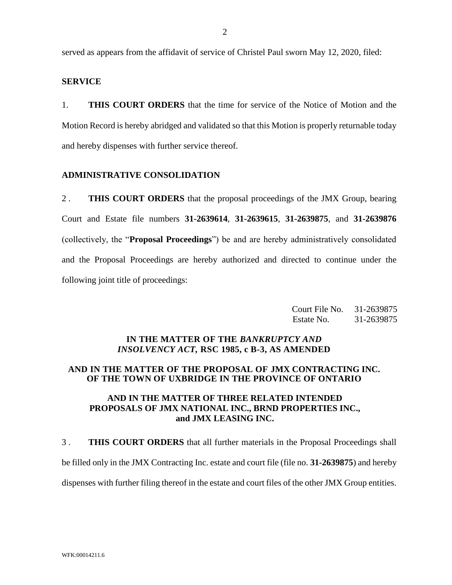served as appears from the affidavit of service of Christel Paul sworn May 12, 2020, filed:

### **SERVICE**

1. **THIS COURT ORDERS** that the time for service of the Notice of Motion and the Motion Record is hereby abridged and validated so that this Motion is properly returnable today and hereby dispenses with further service thereof.

### **ADMINISTRATIVE CONSOLIDATION**

2 . **THIS COURT ORDERS** that the proposal proceedings of the JMX Group, bearing Court and Estate file numbers **31-2639614**, **31-2639615**, **31-2639875**, and **31-2639876**  (collectively, the "**Proposal Proceedings**") be and are hereby administratively consolidated and the Proposal Proceedings are hereby authorized and directed to continue under the following joint title of proceedings:

| Court File No. | 31-2639875 |
|----------------|------------|
| Estate No.     | 31-2639875 |

### **IN THE MATTER OF THE** *BANKRUPTCY AND INSOLVENCY ACT,* **RSC 1985, c B-3, AS AMENDED**

#### **AND IN THE MATTER OF THE PROPOSAL OF JMX CONTRACTING INC. OF THE TOWN OF UXBRIDGE IN THE PROVINCE OF ONTARIO**

# **AND IN THE MATTER OF THREE RELATED INTENDED PROPOSALS OF JMX NATIONAL INC., BRND PROPERTIES INC., and JMX LEASING INC.**

3 . **THIS COURT ORDERS** that all further materials in the Proposal Proceedings shall

be filled only in the JMX Contracting Inc. estate and court file (file no. **31-2639875**) and hereby

dispenses with further filing thereof in the estate and court files of the other JMX Group entities.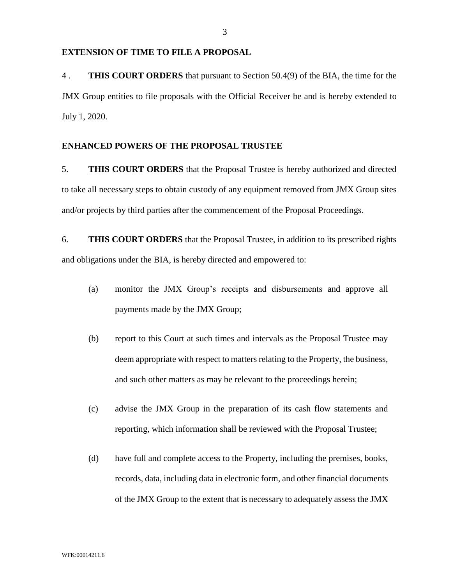#### **EXTENSION OF TIME TO FILE A PROPOSAL**

4 . **THIS COURT ORDERS** that pursuant to Section 50.4(9) of the BIA, the time for the JMX Group entities to file proposals with the Official Receiver be and is hereby extended to July 1, 2020.

## **ENHANCED POWERS OF THE PROPOSAL TRUSTEE**

5. **THIS COURT ORDERS** that the Proposal Trustee is hereby authorized and directed to take all necessary steps to obtain custody of any equipment removed from JMX Group sites and/or projects by third parties after the commencement of the Proposal Proceedings.

6. **THIS COURT ORDERS** that the Proposal Trustee, in addition to its prescribed rights and obligations under the BIA, is hereby directed and empowered to:

- (a) monitor the JMX Group's receipts and disbursements and approve all payments made by the JMX Group;
- (b) report to this Court at such times and intervals as the Proposal Trustee may deem appropriate with respect to matters relating to the Property, the business, and such other matters as may be relevant to the proceedings herein;
- (c) advise the JMX Group in the preparation of its cash flow statements and reporting, which information shall be reviewed with the Proposal Trustee;
- (d) have full and complete access to the Property, including the premises, books, records, data, including data in electronic form, and other financial documents of the JMX Group to the extent that is necessary to adequately assess the JMX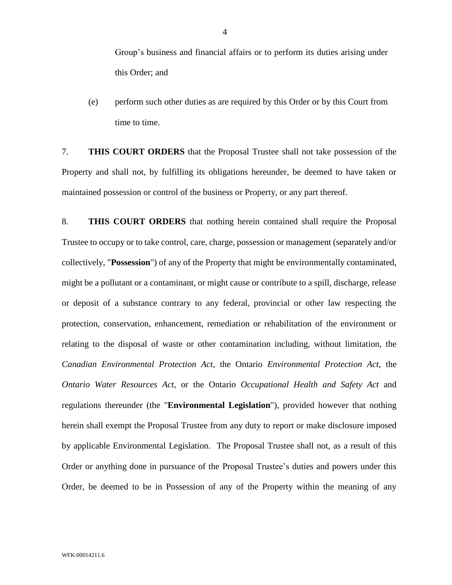Group's business and financial affairs or to perform its duties arising under this Order; and

(e) perform such other duties as are required by this Order or by this Court from time to time.

7. **THIS COURT ORDERS** that the Proposal Trustee shall not take possession of the Property and shall not, by fulfilling its obligations hereunder, be deemed to have taken or maintained possession or control of the business or Property, or any part thereof.

8. **THIS COURT ORDERS** that nothing herein contained shall require the Proposal Trustee to occupy or to take control, care, charge, possession or management (separately and/or collectively, "**Possession**") of any of the Property that might be environmentally contaminated, might be a pollutant or a contaminant, or might cause or contribute to a spill, discharge, release or deposit of a substance contrary to any federal, provincial or other law respecting the protection, conservation, enhancement, remediation or rehabilitation of the environment or relating to the disposal of waste or other contamination including, without limitation, the *Canadian Environmental Protection Act*, the Ontario *Environmental Protection Act*, the *Ontario Water Resources Act*, or the Ontario *Occupational Health and Safety Act* and regulations thereunder (the "**Environmental Legislation**"), provided however that nothing herein shall exempt the Proposal Trustee from any duty to report or make disclosure imposed by applicable Environmental Legislation. The Proposal Trustee shall not, as a result of this Order or anything done in pursuance of the Proposal Trustee's duties and powers under this Order, be deemed to be in Possession of any of the Property within the meaning of any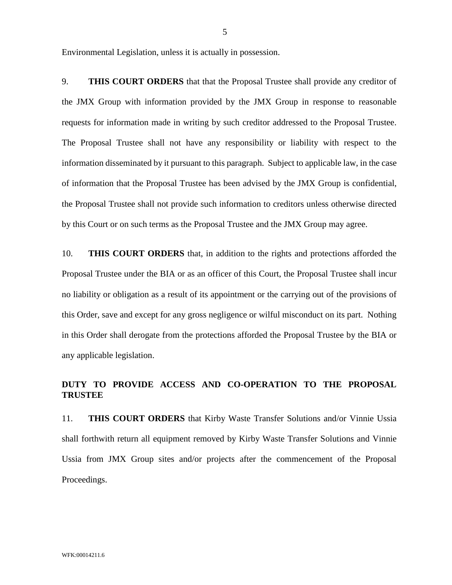Environmental Legislation, unless it is actually in possession.

9. **THIS COURT ORDERS** that that the Proposal Trustee shall provide any creditor of the JMX Group with information provided by the JMX Group in response to reasonable requests for information made in writing by such creditor addressed to the Proposal Trustee. The Proposal Trustee shall not have any responsibility or liability with respect to the information disseminated by it pursuant to this paragraph. Subject to applicable law, in the case of information that the Proposal Trustee has been advised by the JMX Group is confidential, the Proposal Trustee shall not provide such information to creditors unless otherwise directed by this Court or on such terms as the Proposal Trustee and the JMX Group may agree.

10. **THIS COURT ORDERS** that, in addition to the rights and protections afforded the Proposal Trustee under the BIA or as an officer of this Court, the Proposal Trustee shall incur no liability or obligation as a result of its appointment or the carrying out of the provisions of this Order, save and except for any gross negligence or wilful misconduct on its part. Nothing in this Order shall derogate from the protections afforded the Proposal Trustee by the BIA or any applicable legislation.

# **DUTY TO PROVIDE ACCESS AND CO-OPERATION TO THE PROPOSAL TRUSTEE**

11. **THIS COURT ORDERS** that Kirby Waste Transfer Solutions and/or Vinnie Ussia shall forthwith return all equipment removed by Kirby Waste Transfer Solutions and Vinnie Ussia from JMX Group sites and/or projects after the commencement of the Proposal Proceedings.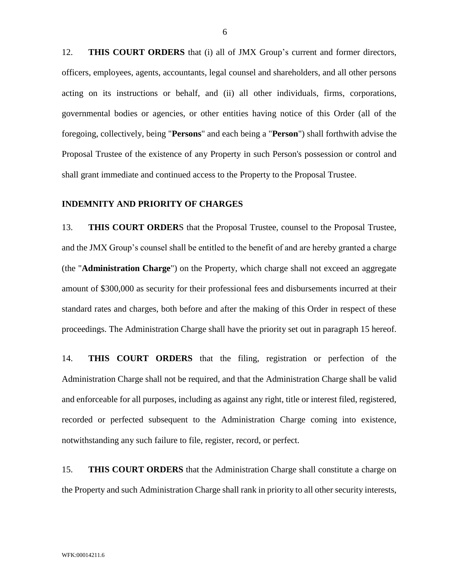12. **THIS COURT ORDERS** that (i) all of JMX Group's current and former directors, officers, employees, agents, accountants, legal counsel and shareholders, and all other persons acting on its instructions or behalf, and (ii) all other individuals, firms, corporations, governmental bodies or agencies, or other entities having notice of this Order (all of the foregoing, collectively, being "**Persons**" and each being a "**Person**") shall forthwith advise the Proposal Trustee of the existence of any Property in such Person's possession or control and shall grant immediate and continued access to the Property to the Proposal Trustee.

#### **INDEMNITY AND PRIORITY OF CHARGES**

13. **THIS COURT ORDER**S that the Proposal Trustee, counsel to the Proposal Trustee, and the JMX Group's counsel shall be entitled to the benefit of and are hereby granted a charge (the "**Administration Charge**") on the Property, which charge shall not exceed an aggregate amount of \$300,000 as security for their professional fees and disbursements incurred at their standard rates and charges, both before and after the making of this Order in respect of these proceedings. The Administration Charge shall have the priority set out in paragraph 15 hereof.

14. **THIS COURT ORDERS** that the filing, registration or perfection of the Administration Charge shall not be required, and that the Administration Charge shall be valid and enforceable for all purposes, including as against any right, title or interest filed, registered, recorded or perfected subsequent to the Administration Charge coming into existence, notwithstanding any such failure to file, register, record, or perfect.

15. **THIS COURT ORDERS** that the Administration Charge shall constitute a charge on the Property and such Administration Charge shall rank in priority to all other security interests,

6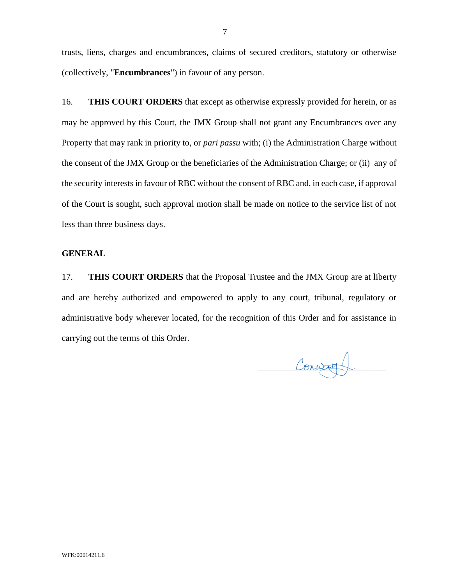trusts, liens, charges and encumbrances, claims of secured creditors, statutory or otherwise (collectively, "**Encumbrances**") in favour of any person.

16. **THIS COURT ORDERS** that except as otherwise expressly provided for herein, or as may be approved by this Court, the JMX Group shall not grant any Encumbrances over any Property that may rank in priority to, or *pari passu* with; (i) the Administration Charge without the consent of the JMX Group or the beneficiaries of the Administration Charge; or (ii) any of the security interests in favour of RBC without the consent of RBC and, in each case, if approval of the Court is sought, such approval motion shall be made on notice to the service list of not less than three business days.

### **GENERAL**

17. **THIS COURT ORDERS** that the Proposal Trustee and the JMX Group are at liberty and are hereby authorized and empowered to apply to any court, tribunal, regulatory or administrative body wherever located, for the recognition of this Order and for assistance in carrying out the terms of this Order.

Convag